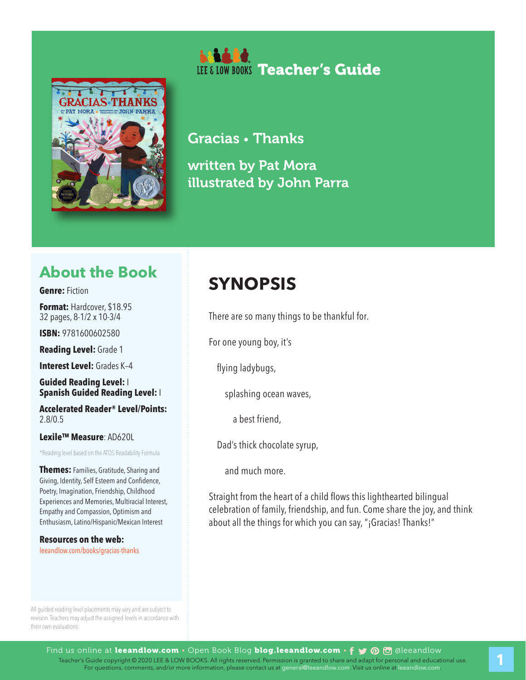



Gracias • Thanks written by Pat Mora illustrated by John Parra

### **About the Book**

#### **Genre:** Fiction

**Format:** Hardcover, \$18.95 32 pages, 8-1/2 x 10-3/4

**ISBN:** 9781600602580

**Reading Level:** Grade 1

**Interest Level:** Grades K–4

**Guided Reading Level:** I **Spanish Guided Reading Level:** I

**Accelerated Reader® Level/Points:**  2.8/0.5

#### **Lexile™ Measure**: AD620L

\*Reading level based on the ATOS Readability Formula

**Themes:** Families, Gratitude, Sharing and Giving, Identity, Self Esteem and Confidence, Poetry, Imagination, Friendship, Childhood Experiences and Memories, Multiracial Interest, Empathy and Compassion, Optimism and Enthusiasm, Latino/Hispanic/Mexican Interest

**Resources on the web:**  leeandlow.com/books/gracias-thanks

## **SYNOPSIS**

There are so many things to be thankful for.

For one young boy, it's

flying ladybugs,

splashing ocean waves,

a best friend,

Dad's thick chocolate syrup,

and much more.

Straight from the heart of a child flows this lighthearted bilingual celebration of family, friendship, and fun. Come share the joy, and think about all the things for which you can say, "¡Gracias! Thanks!"

All guided reading level placements may vary and are subject to revision. Teachers may adjust the assigned levels in accordance with their own evaluations.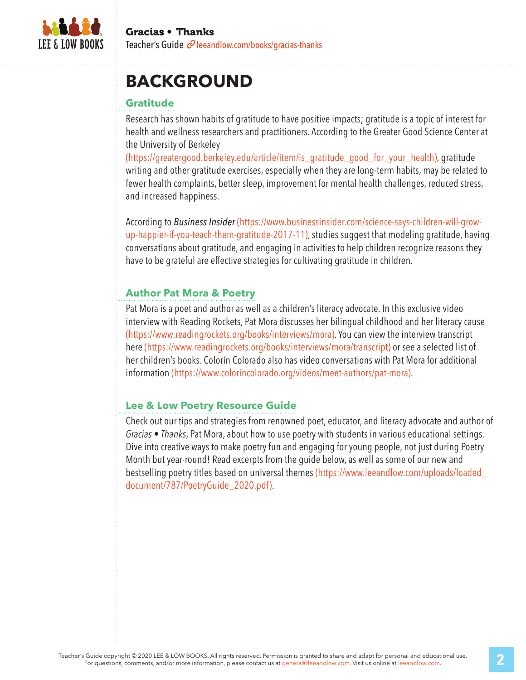

## **BACKGROUND**

#### **Gratitude**

Research has shown habits of gratitude to have positive impacts; gratitude is a topic of interest for health and wellness researchers and practitioners. According to the Greater Good Science Center at the University of Berkeley

(https://greatergood.berkeley.edu/article/item/is\_gratitude\_good\_for\_your\_health), gratitude writing and other gratitude exercises, especially when they are long-term habits, may be related to fewer health complaints, better sleep, improvement for mental health challenges, reduced stress, and increased happiness.

According to *Business Insider* (https://www.businessinsider.com/science-says-children-will-growup-happier-if-you-teach-them-gratitude-2017-11), studies suggest that modeling gratitude, having conversations about gratitude, and engaging in activities to help children recognize reasons they have to be grateful are effective strategies for cultivating gratitude in children.

#### **Author Pat Mora & Poetry**

Pat Mora is a poet and author as well as a children's literacy advocate. In this exclusive video interview with Reading Rockets, Pat Mora discusses her bilingual childhood and her literacy cause (https://www.readingrockets.org/books/interviews/mora). You can view the interview transcript here (https://www.readingrockets.org/books/interviews/mora/transcript) or see a selected list of her children's books. Colorín Colorado also has video conversations with Pat Mora for additional information (https://www.colorincolorado.org/videos/meet-authors/pat-mora).

#### **Lee & Low Poetry Resource Guide**

Check out our tips and strategies from renowned poet, educator, and literacy advocate and author of *Gracias • Thanks*, Pat Mora, about how to use poetry with students in various educational settings. Dive into creative ways to make poetry fun and engaging for young people, not just during Poetry Month but year-round! Read excerpts from the guide below, as well as some of our new and bestselling poetry titles based on universal themes (https://www.leeandlow.com/uploads/loaded\_ document/787/PoetryGuide\_2020.pdf).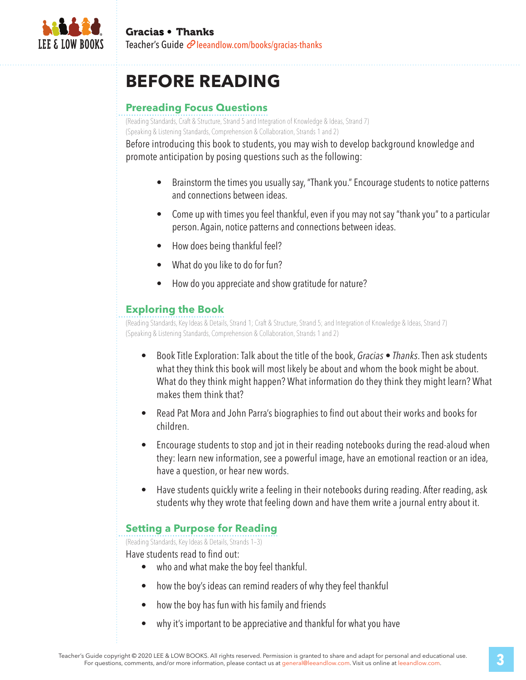

## **BEFORE READING**

#### **Prereading Focus Questions**

(Reading Standards, Craft & Structure, Strand 5 and Integration of Knowledge & Ideas, Strand 7) (Speaking & Listening Standards, Comprehension & Collaboration, Strands 1 and 2)

Before introducing this book to students, you may wish to develop background knowledge and promote anticipation by posing questions such as the following:

- Brainstorm the times you usually say, "Thank you." Encourage students to notice patterns and connections between ideas.
- Come up with times you feel thankful, even if you may not say "thank you" to a particular person. Again, notice patterns and connections between ideas.
- How does being thankful feel?
- What do you like to do for fun?
- How do you appreciate and show gratitude for nature?

#### **Exploring the Book**

(Reading Standards, Key Ideas & Details, Strand 1; Craft & Structure, Strand 5; and Integration of Knowledge & Ideas, Strand 7) (Speaking & Listening Standards, Comprehension & Collaboration, Strands 1 and 2)

- Book Title Exploration: Talk about the title of the book, *Gracias Thanks*. Then ask students what they think this book will most likely be about and whom the book might be about. What do they think might happen? What information do they think they might learn? What makes them think that?
- Read Pat Mora and John Parra's biographies to find out about their works and books for children.
- Encourage students to stop and jot in their reading notebooks during the read-aloud when they: learn new information, see a powerful image, have an emotional reaction or an idea, have a question, or hear new words.
- Have students quickly write a feeling in their notebooks during reading. After reading, ask students why they wrote that feeling down and have them write a journal entry about it.

#### **Setting a Purpose for Reading**

(Reading Standards, Key Ideas & Details, Strands 1–3)

Have students read to find out:

- who and what make the boy feel thankful.
- how the boy's ideas can remind readers of why they feel thankful
- how the boy has fun with his family and friends
- why it's important to be appreciative and thankful for what you have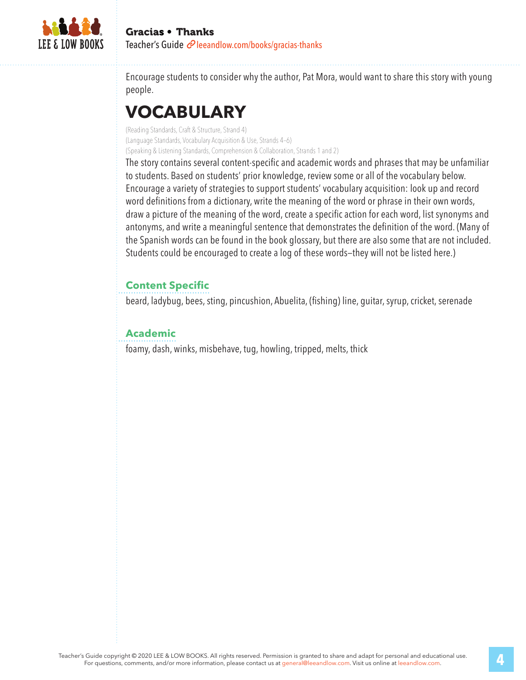

Encourage students to consider why the author, Pat Mora, would want to share this story with young people.

## **VOCABULARY**

(Reading Standards, Craft & Structure, Strand 4) (Language Standards, Vocabulary Acquisition & Use, Strands 4–6) (Speaking & Listening Standards, Comprehension & Collaboration, Strands 1 and 2)

The story contains several content-specific and academic words and phrases that may be unfamiliar to students. Based on students' prior knowledge, review some or all of the vocabulary below. Encourage a variety of strategies to support students' vocabulary acquisition: look up and record word definitions from a dictionary, write the meaning of the word or phrase in their own words, draw a picture of the meaning of the word, create a specific action for each word, list synonyms and antonyms, and write a meaningful sentence that demonstrates the definition of the word. (Many of the Spanish words can be found in the book glossary, but there are also some that are not included. Students could be encouraged to create a log of these words—they will not be listed here.)

### **Content Specific**

beard, ladybug, bees, sting, pincushion, Abuelita, (fishing) line, guitar, syrup, cricket, serenade

#### **Academic**

foamy, dash, winks, misbehave, tug, howling, tripped, melts, thick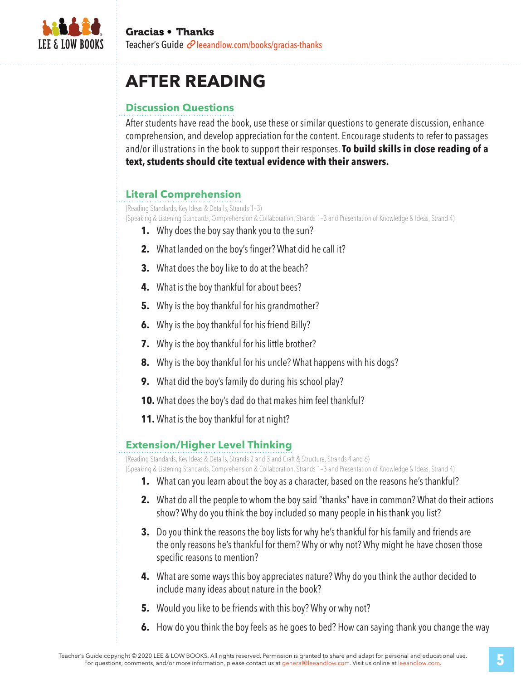

## **AFTER READING**

### **Discussion Questions**

After students have read the book, use these or similar questions to generate discussion, enhance comprehension, and develop appreciation for the content. Encourage students to refer to passages and/or illustrations in the book to support their responses. **To build skills in close reading of a text, students should cite textual evidence with their answers.**

### **Literal Comprehension**

(Reading Standards, Key Ideas & Details, Strands 1–3)

(Speaking & Listening Standards, Comprehension & Collaboration, Strands 1–3 and Presentation of Knowledge & Ideas, Strand 4)

- **1.** Why does the boy say thank you to the sun?
- **2.** What landed on the boy's finger? What did he call it?
- **3.** What does the boy like to do at the beach?
- **4.** What is the boy thankful for about bees?
- **5.** Why is the boy thankful for his grandmother?
- **6.** Why is the boy thankful for his friend Billy?
- **7.** Why is the boy thankful for his little brother?
- **8.** Why is the boy thankful for his uncle? What happens with his dogs?
- **9.** What did the boy's family do during his school play?
- **10.** What does the boy's dad do that makes him feel thankful?
- **11.** What is the boy thankful for at night?

#### **Extension/Higher Level Thinking**

(Reading Standards, Key Ideas & Details, Strands 2 and 3 and Craft & Structure, Strands 4 and 6)

(Speaking & Listening Standards, Comprehension & Collaboration, Strands 1–3 and Presentation of Knowledge & Ideas, Strand 4)

- **1.** What can you learn about the boy as a character, based on the reasons he's thankful?
- **2.** What do all the people to whom the boy said "thanks" have in common? What do their actions show? Why do you think the boy included so many people in his thank you list?
- **3.** Do you think the reasons the boy lists for why he's thankful for his family and friends are the only reasons he's thankful for them? Why or why not? Why might he have chosen those specific reasons to mention?
- **4.** What are some ways this boy appreciates nature? Why do you think the author decided to include many ideas about nature in the book?
- **5.** Would you like to be friends with this boy? Why or why not?
- **6.** How do you think the boy feels as he goes to bed? How can saying thank you change the way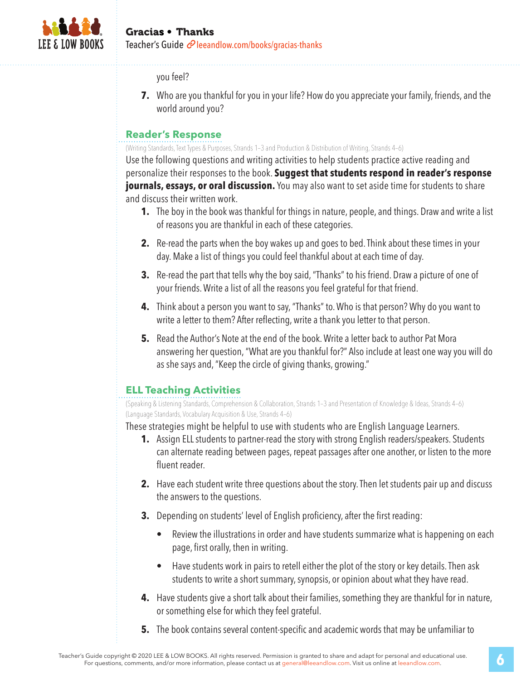

#### Gracias • Thanks Teacher's Guide  $\mathcal O$  leeandlow.com/books/gracias-thanks

you feel?

**7.** Who are you thankful for you in your life? How do you appreciate your family, friends, and the world around you?

#### **Reader's Response**

(Writing Standards, Text Types & Purposes, Strands 1–3 and Production & Distribution of Writing, Strands 4–6)

Use the following questions and writing activities to help students practice active reading and personalize their responses to the book. **Suggest that students respond in reader's response journals, essays, or oral discussion.** You may also want to set aside time for students to share and discuss their written work.

- **1.** The boy in the book was thankful for things in nature, people, and things. Draw and write a list of reasons you are thankful in each of these categories.
- **2.** Re-read the parts when the boy wakes up and goes to bed. Think about these times in your day. Make a list of things you could feel thankful about at each time of day.
- **3.** Re-read the part that tells why the boy said, "Thanks" to his friend. Draw a picture of one of your friends. Write a list of all the reasons you feel grateful for that friend.
- **4.** Think about a person you want to say, "Thanks" to. Who is that person? Why do you want to write a letter to them? After reflecting, write a thank you letter to that person.
- **5.** Read the Author's Note at the end of the book. Write a letter back to author Pat Mora answering her question, "What are you thankful for?" Also include at least one way you will do as she says and, "Keep the circle of giving thanks, growing."

### **ELL Teaching Activities**

(Speaking & Listening Standards, Comprehension & Collaboration, Strands 1–3 and Presentation of Knowledge & Ideas, Strands 4–6) (Language Standards, Vocabulary Acquisition & Use, Strands 4–6)

These strategies might be helpful to use with students who are English Language Learners.

- **1.** Assign ELL students to partner-read the story with strong English readers/speakers. Students can alternate reading between pages, repeat passages after one another, or listen to the more fluent reader.
- **2.** Have each student write three questions about the story. Then let students pair up and discuss the answers to the questions.
- **3.** Depending on students' level of English proficiency, after the first reading:
	- Review the illustrations in order and have students summarize what is happening on each page, first orally, then in writing.
	- Have students work in pairs to retell either the plot of the story or key details. Then ask students to write a short summary, synopsis, or opinion about what they have read.
- **4.** Have students give a short talk about their families, something they are thankful for in nature, or something else for which they feel grateful.
- **5.** The book contains several content-specific and academic words that may be unfamiliar to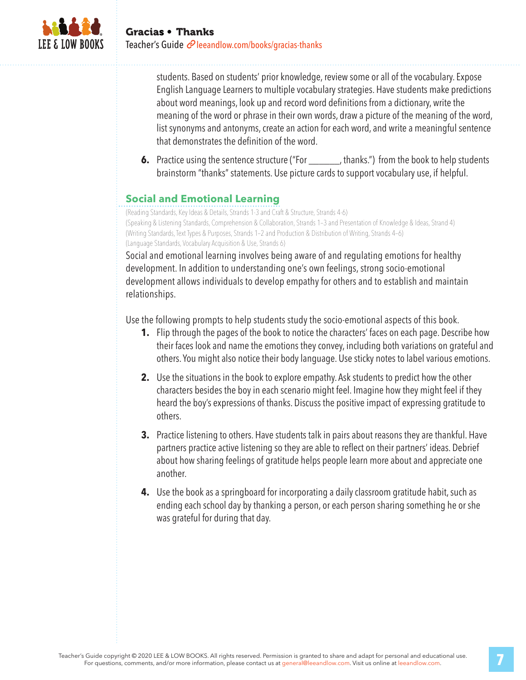

students. Based on students' prior knowledge, review some or all of the vocabulary. Expose English Language Learners to multiple vocabulary strategies. Have students make predictions about word meanings, look up and record word definitions from a dictionary, write the meaning of the word or phrase in their own words, draw a picture of the meaning of the word, list synonyms and antonyms, create an action for each word, and write a meaningful sentence that demonstrates the definition of the word.

**6.** Practice using the sentence structure ("For \_\_\_\_\_\_, thanks.") from the book to help students brainstorm "thanks" statements. Use picture cards to support vocabulary use, if helpful.

### **Social and Emotional Learning**

(Reading Standards, Key Ideas & Details, Strands 1-3 and Craft & Structure, Strands 4-6) (Speaking & Listening Standards, Comprehension & Collaboration, Strands 1–3 and Presentation of Knowledge & Ideas, Strand 4) (Writing Standards, Text Types & Purposes, Strands 1–2 and Production & Distribution of Writing, Strands 4–6) (Language Standards, Vocabulary Acquisition & Use, Strands 6)

Social and emotional learning involves being aware of and regulating emotions for healthy development. In addition to understanding one's own feelings, strong socio-emotional development allows individuals to develop empathy for others and to establish and maintain relationships.

Use the following prompts to help students study the socio-emotional aspects of this book.

- **1.** Flip through the pages of the book to notice the characters' faces on each page. Describe how their faces look and name the emotions they convey, including both variations on grateful and others. You might also notice their body language. Use sticky notes to label various emotions.
- **2.** Use the situations in the book to explore empathy. Ask students to predict how the other characters besides the boy in each scenario might feel. Imagine how they might feel if they heard the boy's expressions of thanks. Discuss the positive impact of expressing gratitude to others.
- **3.** Practice listening to others. Have students talk in pairs about reasons they are thankful. Have partners practice active listening so they are able to reflect on their partners' ideas. Debrief about how sharing feelings of gratitude helps people learn more about and appreciate one another.
- **4.** Use the book as a springboard for incorporating a daily classroom gratitude habit, such as ending each school day by thanking a person, or each person sharing something he or she was grateful for during that day.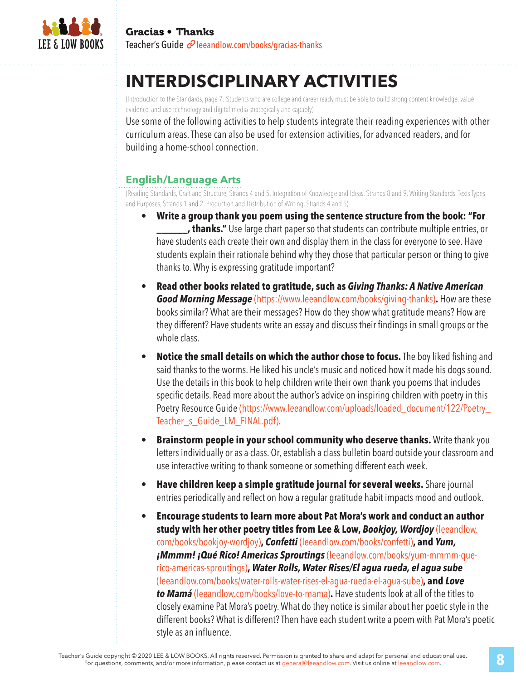

# **INTERDISCIPLINARY ACTIVITIES**

(Introduction to the Standards, page 7: Students who are college and career ready must be able to build strong content knowledge, value evidence, and use technology and digital media strategically and capably)

Use some of the following activities to help students integrate their reading experiences with other curriculum areas. These can also be used for extension activities, for advanced readers, and for building a home-school connection.

### **English/Language Arts**

(Reading Standards, Craft and Structure, Strands 4 and 5, Integration of Knowledge and Ideas, Strands 8 and 9, Writing Standards, Texts Types and Purposes, Strands 1 and 2, Production and Distribution of Writing, Strands 4 and 5)

- **Write a group thank you poem using the sentence structure from the book: "For \_\_\_\_\_\_, thanks."** Use large chart paper so that students can contribute multiple entries, or have students each create their own and display them in the class for everyone to see. Have students explain their rationale behind why they chose that particular person or thing to give thanks to. Why is expressing gratitude important?
- **Read other books related to gratitude, such as** *Giving Thanks: A Native American Good Morning Message* (https://www.leeandlow.com/books/giving-thanks)**.** How are these books similar? What are their messages? How do they show what gratitude means? How are they different? Have students write an essay and discuss their findings in small groups or the whole class.
- **Notice the small details on which the author chose to focus.** The boy liked fishing and said thanks to the worms. He liked his uncle's music and noticed how it made his dogs sound. Use the details in this book to help children write their own thank you poems that includes specific details. Read more about the author's advice on inspiring children with poetry in this Poetry Resource Guide (https://www.leeandlow.com/uploads/loaded\_document/122/Poetry\_ Teacher s Guide LM FINAL.pdf).
- **Brainstorm people in your school community who deserve thanks.** Write thank you letters individually or as a class. Or, establish a class bulletin board outside your classroom and use interactive writing to thank someone or something different each week.
- **Have children keep a simple gratitude journal for several weeks.** Share journal entries periodically and reflect on how a regular gratitude habit impacts mood and outlook.
- **Encourage students to learn more about Pat Mora's work and conduct an author study with her other poetry titles from Lee & Low,** *Bookjoy, Wordjoy* (leeandlow. com/books/bookjoy-wordjoy)**,** *Confetti* (leeandlow.com/books/confetti)**, and** *Yum, ¡Mmmm! ¡Qué Rico! Americas Sproutings* (leeandlow.com/books/yum-mmmm-querico-americas-sproutings)**,** *Water Rolls, Water Rises/El agua rueda, el agua sube* (leeandlow.com/books/water-rolls-water-rises-el-agua-rueda-el-agua-sube)**, and** *Love to Mamá* (leeandlow.com/books/love-to-mama)**.** Have students look at all of the titles to closely examine Pat Mora's poetry. What do they notice is similar about her poetic style in the different books? What is different? Then have each student write a poem with Pat Mora's poetic style as an influence.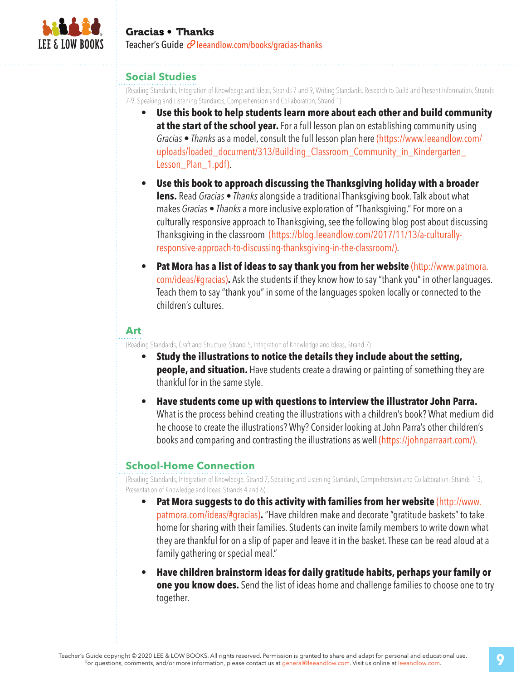

#### **Social Studies**

(Reading Standards, Integration of Knowledge and Ideas, Strands 7 and 9, Writing Standards, Research to Build and Present Information, Strands 7-9, Speaking and Listening Standards, Comprehension and Collaboration, Strand 1)

- **Use this book to help students learn more about each other and build community at the start of the school year.** For a full lesson plan on establishing community using *Gracias • Thanks* as a model, consult the full lesson plan here (https://www.leeandlow.com/ uploads/loaded document/313/Building Classroom Community in Kindergarten Lesson\_Plan\_1.pdf).
- **Use this book to approach discussing the Thanksgiving holiday with a broader lens.** Read *Gracias • Thanks* alongside a traditional Thanksgiving book. Talk about what makes *Gracias • Thanks* a more inclusive exploration of "Thanksgiving." For more on a culturally responsive approach to Thanksgiving, see the following blog post about discussing Thanksgiving in the classroom (https://blog.leeandlow.com/2017/11/13/a-culturallyresponsive-approach-to-discussing-thanksgiving-in-the-classroom/).
- **Pat Mora has a list of ideas to say thank you from her website (http://www.patmora.** com/ideas/#gracias)**.** Ask the students if they know how to say "thank you" in other languages. Teach them to say "thank you" in some of the languages spoken locally or connected to the children's cultures.

#### **Art**

(Reading Standards, Craft and Structure, Strand 5, Integration of Knowledge and Ideas, Strand 7)

- **Study the illustrations to notice the details they include about the setting, people, and situation.** Have students create a drawing or painting of something they are thankful for in the same style.
- **Have students come up with questions to interview the illustrator John Parra.**  What is the process behind creating the illustrations with a children's book? What medium did he choose to create the illustrations? Why? Consider looking at John Parra's other children's books and comparing and contrasting the illustrations as well (https://johnparraart.com/).

#### **School-Home Connection**

(Reading Standards, Integration of Knowledge, Strand 7, Speaking and Listening Standards, Comprehension and Collaboration, Strands 1-3, Presentation of Knowledge and Ideas, Strands 4 and 6)

- **Pat Mora suggests to do this activity with families from her website** (http://www. patmora.com/ideas/#gracias)**.** "Have children make and decorate "gratitude baskets" to take home for sharing with their families. Students can invite family members to write down what they are thankful for on a slip of paper and leave it in the basket. These can be read aloud at a family gathering or special meal."
- **Have children brainstorm ideas for daily gratitude habits, perhaps your family or one you know does.** Send the list of ideas home and challenge families to choose one to try together.